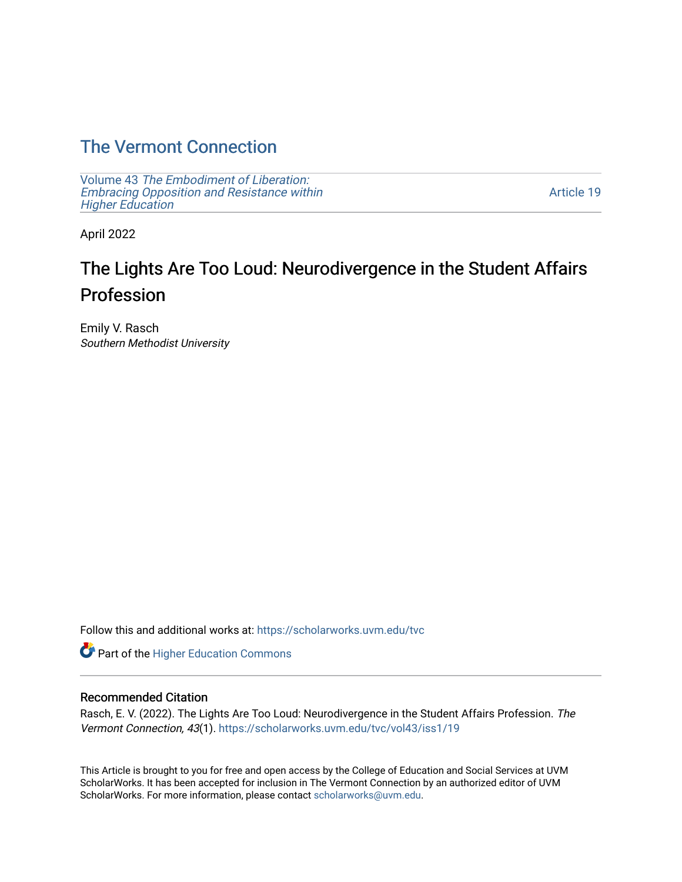## [The Vermont Connection](https://scholarworks.uvm.edu/tvc)

Volume 43 [The Embodiment of Liberation:](https://scholarworks.uvm.edu/tvc/vol43) [Embracing Opposition and Resistance within](https://scholarworks.uvm.edu/tvc/vol43)  [Higher Education](https://scholarworks.uvm.edu/tvc/vol43) 

[Article 19](https://scholarworks.uvm.edu/tvc/vol43/iss1/19) 

April 2022

# The Lights Are Too Loud: Neurodivergence in the Student Affairs Profession

Emily V. Rasch Southern Methodist University

Follow this and additional works at: [https://scholarworks.uvm.edu/tvc](https://scholarworks.uvm.edu/tvc?utm_source=scholarworks.uvm.edu%2Ftvc%2Fvol43%2Fiss1%2F19&utm_medium=PDF&utm_campaign=PDFCoverPages)

Part of the [Higher Education Commons](http://network.bepress.com/hgg/discipline/1245?utm_source=scholarworks.uvm.edu%2Ftvc%2Fvol43%2Fiss1%2F19&utm_medium=PDF&utm_campaign=PDFCoverPages) 

#### Recommended Citation

Rasch, E. V. (2022). The Lights Are Too Loud: Neurodivergence in the Student Affairs Profession. The Vermont Connection, 43(1). [https://scholarworks.uvm.edu/tvc/vol43/iss1/19](https://scholarworks.uvm.edu/tvc/vol43/iss1/19?utm_source=scholarworks.uvm.edu%2Ftvc%2Fvol43%2Fiss1%2F19&utm_medium=PDF&utm_campaign=PDFCoverPages) 

This Article is brought to you for free and open access by the College of Education and Social Services at UVM ScholarWorks. It has been accepted for inclusion in The Vermont Connection by an authorized editor of UVM ScholarWorks. For more information, please contact [scholarworks@uvm.edu](mailto:scholarworks@uvm.edu).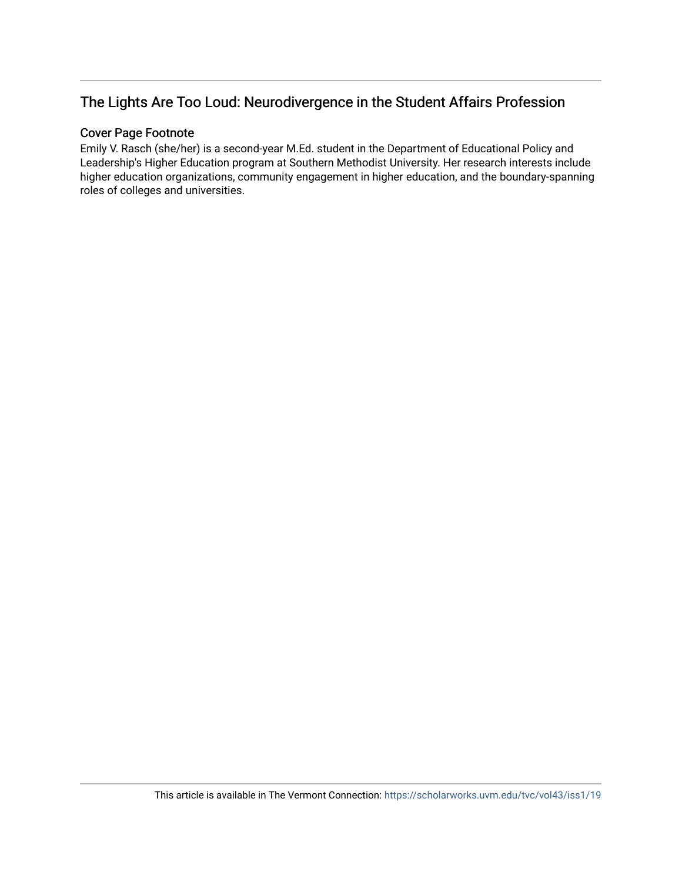## The Lights Are Too Loud: Neurodivergence in the Student Affairs Profession

#### Cover Page Footnote

Emily V. Rasch (she/her) is a second-year M.Ed. student in the Department of Educational Policy and Leadership's Higher Education program at Southern Methodist University. Her research interests include higher education organizations, community engagement in higher education, and the boundary-spanning roles of colleges and universities.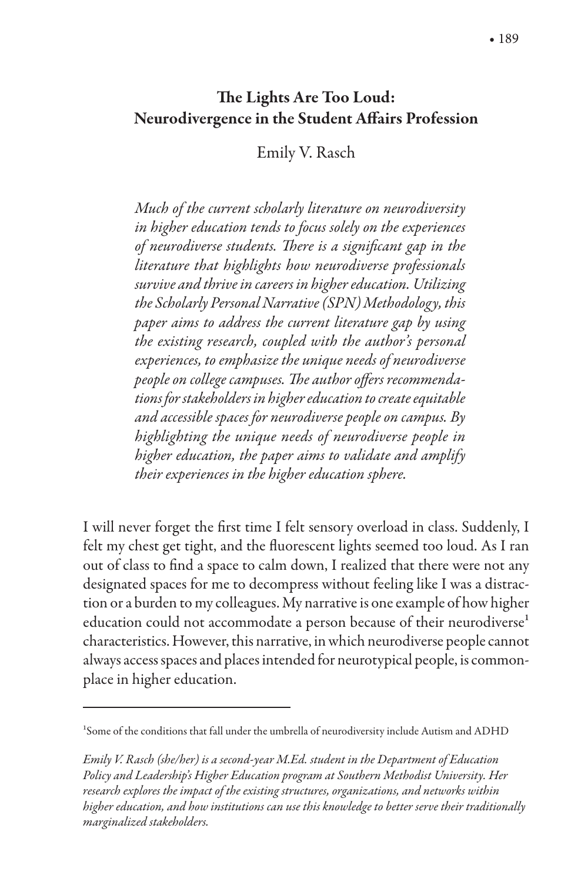#### The Lights Are Too Loud: Neurodivergence in the Student Affairs Profession

Emily V. Rasch

*Much of the current scholarly literature on neurodiversity in higher education tends to focus solely on the experiences of neurodiverse students. There is a significant gap in the literature that highlights how neurodiverse professionals survive and thrive in careers in higher education. Utilizing the Scholarly Personal Narrative (SPN) Methodology, this paper aims to address the current literature gap by using the existing research, coupled with the author's personal experiences, to emphasize the unique needs of neurodiverse*  people on college campuses. The author offers recommenda*tions for stakeholders in higher education to create equitable and accessible spaces for neurodiverse people on campus. By highlighting the unique needs of neurodiverse people in higher education, the paper aims to validate and amplify their experiences in the higher education sphere.*

I will never forget the first time I felt sensory overload in class. Suddenly, I felt my chest get tight, and the fluorescent lights seemed too loud. As I ran out of class to find a space to calm down, I realized that there were not any designated spaces for me to decompress without feeling like I was a distraction or a burden to my colleagues. My narrative is one example of how higher education could not accommodate a person because of their neurodiverse<sup>1</sup> characteristics. However, this narrative, in which neurodiverse people cannot always access spaces and places intended for neurotypical people, is commonplace in higher education.

*Emily V. Rasch (she/her) is a second-year M.Ed. student in the Department of Education Policy and Leadership's Higher Education program at Southern Methodist University. Her research explores the impact of the existing structures, organizations, and networks within higher education, and how institutions can use this knowledge to better serve their traditionally marginalized stakeholders.*

<sup>1</sup>Some of the conditions that fall under the umbrella of neurodiversity include Autism and ADHD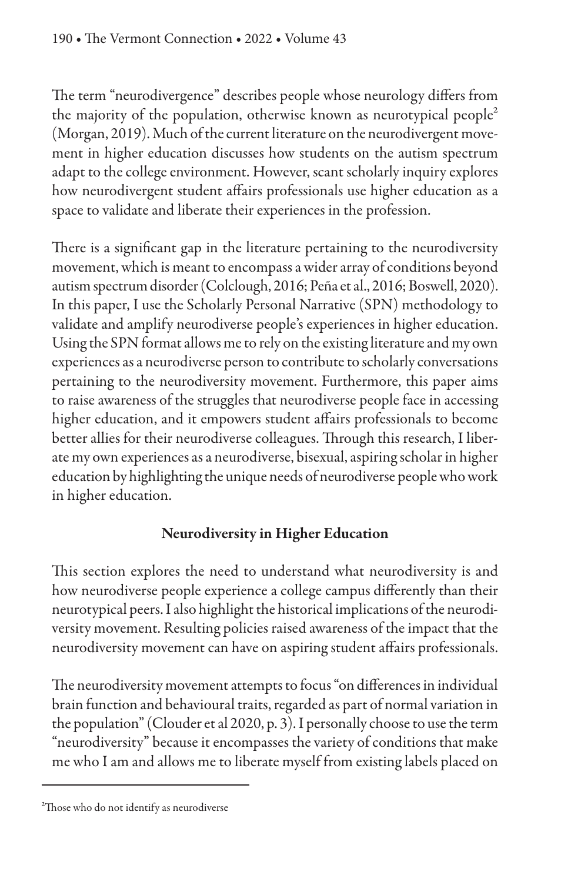The term "neurodivergence" describes people whose neurology differs from the majority of the population, otherwise known as neurotypical people<sup>2</sup> (Morgan, 2019). Much of the current literature on the neurodivergent movement in higher education discusses how students on the autism spectrum adapt to the college environment. However, scant scholarly inquiry explores how neurodivergent student affairs professionals use higher education as a space to validate and liberate their experiences in the profession.

There is a significant gap in the literature pertaining to the neurodiversity movement, which is meant to encompass a wider array of conditions beyond autism spectrum disorder (Colclough, 2016; Peña et al., 2016; Boswell, 2020). In this paper, I use the Scholarly Personal Narrative (SPN) methodology to validate and amplify neurodiverse people's experiences in higher education. Using the SPN format allows me to rely on the existing literature and my own experiences as a neurodiverse person to contribute to scholarly conversations pertaining to the neurodiversity movement. Furthermore, this paper aims to raise awareness of the struggles that neurodiverse people face in accessing higher education, and it empowers student affairs professionals to become better allies for their neurodiverse colleagues. Through this research, I liberate my own experiences as a neurodiverse, bisexual, aspiring scholar in higher education by highlighting the unique needs of neurodiverse people who work in higher education.

#### Neurodiversity in Higher Education

This section explores the need to understand what neurodiversity is and how neurodiverse people experience a college campus differently than their neurotypical peers. I also highlight the historical implications of the neurodiversity movement. Resulting policies raised awareness of the impact that the neurodiversity movement can have on aspiring student affairs professionals.

The neurodiversity movement attempts to focus "on differences in individual brain function and behavioural traits, regarded as part of normal variation in the population" (Clouder et al 2020, p. 3). I personally choose to use the term "neurodiversity" because it encompasses the variety of conditions that make me who I am and allows me to liberate myself from existing labels placed on

<sup>&</sup>lt;sup>2</sup>Those who do not identify as neurodiverse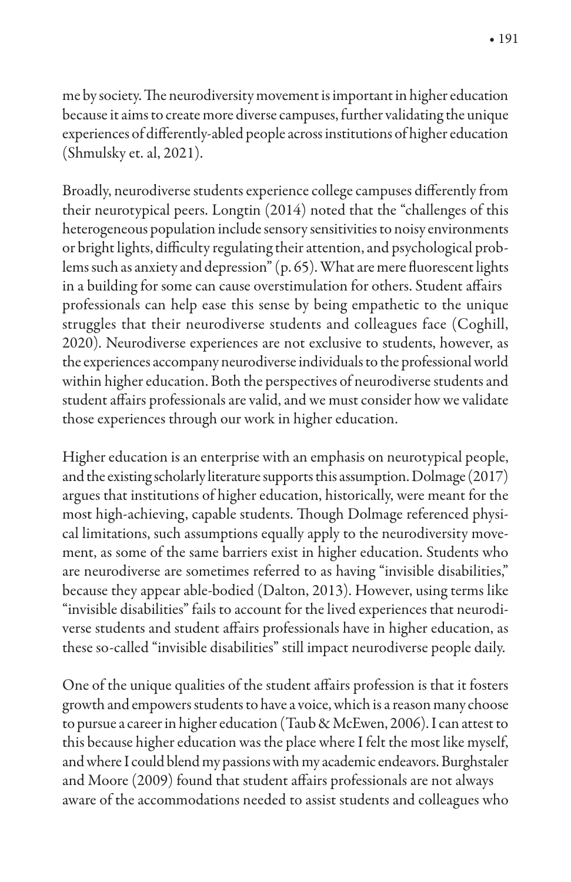me by society. The neurodiversity movement is important in higher education because it aims to create more diverse campuses, further validating the unique experiences of differently-abled people across institutions of higher education (Shmulsky et. al, 2021).

Broadly, neurodiverse students experience college campuses differently from their neurotypical peers. Longtin (2014) noted that the "challenges of this heterogeneous population include sensory sensitivities to noisy environments or bright lights, difficulty regulating their attention, and psychological problems such as anxiety and depression"  $(p. 65)$ . What are mere fluorescent lights in a building for some can cause overstimulation for others. Student affairs professionals can help ease this sense by being empathetic to the unique struggles that their neurodiverse students and colleagues face (Coghill, 2020). Neurodiverse experiences are not exclusive to students, however, as the experiences accompany neurodiverse individuals to the professional world within higher education. Both the perspectives of neurodiverse students and student affairs professionals are valid, and we must consider how we validate those experiences through our work in higher education.

Higher education is an enterprise with an emphasis on neurotypical people, and the existing scholarly literature supports this assumption. Dolmage (2017) argues that institutions of higher education, historically, were meant for the most high-achieving, capable students. Though Dolmage referenced physical limitations, such assumptions equally apply to the neurodiversity movement, as some of the same barriers exist in higher education. Students who are neurodiverse are sometimes referred to as having "invisible disabilities," because they appear able-bodied (Dalton, 2013). However, using terms like "invisible disabilities" fails to account for the lived experiences that neurodiverse students and student affairs professionals have in higher education, as these so-called "invisible disabilities" still impact neurodiverse people daily.

One of the unique qualities of the student affairs profession is that it fosters growth and empowers students to have a voice, which is a reason many choose to pursue a career in higher education (Taub & McEwen, 2006). I can attest to this because higher education was the place where I felt the most like myself, and where I could blend my passions with my academic endeavors. Burghstaler and Moore (2009) found that student affairs professionals are not always aware of the accommodations needed to assist students and colleagues who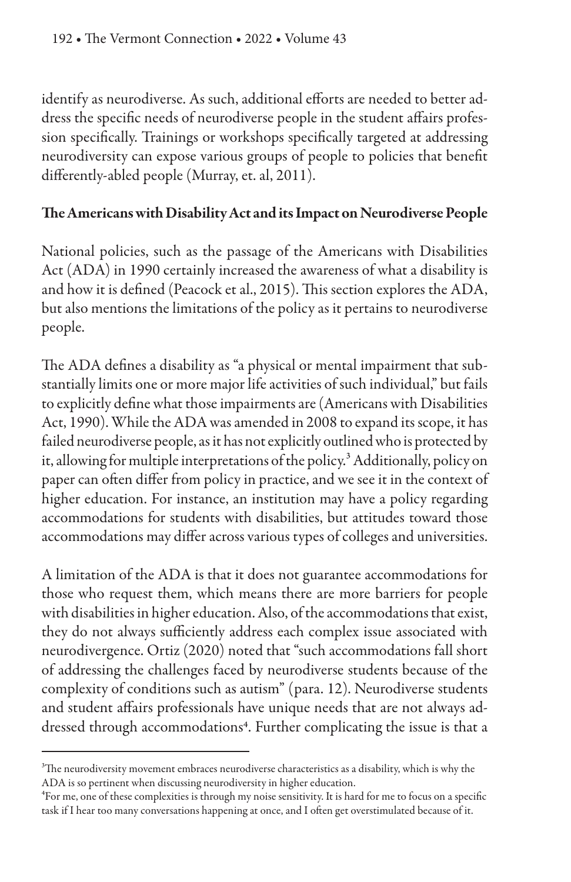identify as neurodiverse. As such, additional efforts are needed to better address the specific needs of neurodiverse people in the student affairs profession specifically. Trainings or workshops specifically targeted at addressing neurodiversity can expose various groups of people to policies that benefit differently-abled people (Murray, et. al, 2011).

#### The Americans with Disability Act and its Impact on Neurodiverse People

National policies, such as the passage of the Americans with Disabilities Act (ADA) in 1990 certainly increased the awareness of what a disability is and how it is defined (Peacock et al., 2015). This section explores the ADA, but also mentions the limitations of the policy as it pertains to neurodiverse people.

The ADA defines a disability as "a physical or mental impairment that substantially limits one or more major life activities of such individual," but fails to explicitly define what those impairments are (Americans with Disabilities Act, 1990). While the ADA was amended in 2008 to expand its scope, it has failed neurodiverse people, as it has not explicitly outlined who is protected by it, allowing for multiple interpretations of the policy.<sup>3</sup> Additionally, policy on paper can often differ from policy in practice, and we see it in the context of higher education. For instance, an institution may have a policy regarding accommodations for students with disabilities, but attitudes toward those accommodations may differ across various types of colleges and universities.

A limitation of the ADA is that it does not guarantee accommodations for those who request them, which means there are more barriers for people with disabilities in higher education. Also, of the accommodations that exist, they do not always sufficiently address each complex issue associated with neurodivergence. Ortiz (2020) noted that "such accommodations fall short of addressing the challenges faced by neurodiverse students because of the complexity of conditions such as autism" (para. 12). Neurodiverse students and student affairs professionals have unique needs that are not always addressed through accommodations<sup>4</sup>. Further complicating the issue is that a

 $3$ The neurodiversity movement embraces neurodiverse characteristics as a disability, which is why the ADA is so pertinent when discussing neurodiversity in higher education.

<sup>&</sup>lt;sup>4</sup>For me, one of these complexities is through my noise sensitivity. It is hard for me to focus on a specific task if I hear too many conversations happening at once, and I often get overstimulated because of it.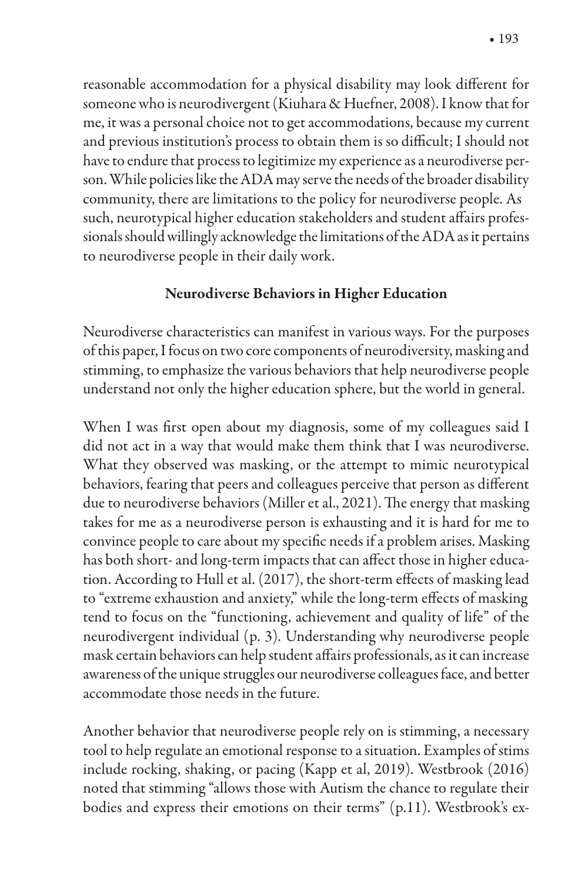reasonable accommodation for a physical disability may look different for someone who is neurodivergent (Kiuhara & Huefner, 2008). I know that for me, it was a personal choice not to get accommodations, because my current and previous institution's process to obtain them is so difficult; I should not have to endure that process to legitimize my experience as a neurodiverse person. While policies like the ADA may serve the needs of the broader disability community, there are limitations to the policy for neurodiverse people. As such, neurotypical higher education stakeholders and student affairs professionals should willingly acknowledge the limitations of the ADA as it pertains to neurodiverse people in their daily work.

#### Neurodiverse Behaviors in Higher Education

Neurodiverse characteristics can manifest in various ways. For the purposes of this paper, I focus on two core components of neurodiversity, masking and stimming, to emphasize the various behaviors that help neurodiverse people understand not only the higher education sphere, but the world in general.

When I was first open about my diagnosis, some of my colleagues said I did not act in a way that would make them think that I was neurodiverse. What they observed was masking, or the attempt to mimic neurotypical behaviors, fearing that peers and colleagues perceive that person as different due to neurodiverse behaviors (Miller et al., 2021). The energy that masking takes for me as a neurodiverse person is exhausting and it is hard for me to convince people to care about my specific needs if a problem arises. Masking has both short- and long-term impacts that can affect those in higher education. According to Hull et al. (2017), the short-term effects of masking lead to "extreme exhaustion and anxiety," while the long-term effects of masking tend to focus on the "functioning, achievement and quality of life" of the neurodivergent individual (p. 3). Understanding why neurodiverse people mask certain behaviors can help student affairs professionals, as it can increase awareness of the unique struggles our neurodiverse colleagues face, and better accommodate those needs in the future.

Another behavior that neurodiverse people rely on is stimming, a necessary tool to help regulate an emotional response to a situation. Examples of stims include rocking, shaking, or pacing (Kapp et al, 2019). Westbrook (2016) noted that stimming "allows those with Autism the chance to regulate their bodies and express their emotions on their terms" (p.11). Westbrook's ex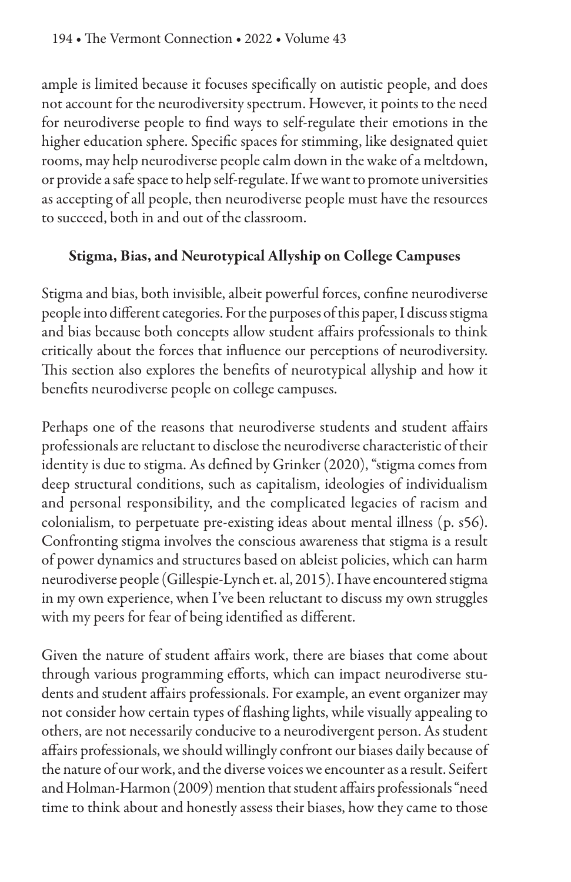ample is limited because it focuses specifically on autistic people, and does not account for the neurodiversity spectrum. However, it points to the need for neurodiverse people to find ways to self-regulate their emotions in the higher education sphere. Specific spaces for stimming, like designated quiet rooms, may help neurodiverse people calm down in the wake of a meltdown, or provide a safe space to help self-regulate. If we want to promote universities as accepting of all people, then neurodiverse people must have the resources to succeed, both in and out of the classroom.

#### Stigma, Bias, and Neurotypical Allyship on College Campuses

Stigma and bias, both invisible, albeit powerful forces, confine neurodiverse people into different categories. For the purposes of this paper, I discuss stigma and bias because both concepts allow student affairs professionals to think critically about the forces that influence our perceptions of neurodiversity. This section also explores the benefits of neurotypical allyship and how it benefits neurodiverse people on college campuses.

Perhaps one of the reasons that neurodiverse students and student affairs professionals are reluctant to disclose the neurodiverse characteristic of their identity is due to stigma. As defined by Grinker (2020), "stigma comes from deep structural conditions, such as capitalism, ideologies of individualism and personal responsibility, and the complicated legacies of racism and colonialism, to perpetuate pre-existing ideas about mental illness (p. s56). Confronting stigma involves the conscious awareness that stigma is a result of power dynamics and structures based on ableist policies, which can harm neurodiverse people (Gillespie-Lynch et. al, 2015). I have encountered stigma in my own experience, when I've been reluctant to discuss my own struggles with my peers for fear of being identified as different.

Given the nature of student affairs work, there are biases that come about through various programming efforts, which can impact neurodiverse students and student affairs professionals. For example, an event organizer may not consider how certain types of flashing lights, while visually appealing to others, are not necessarily conducive to a neurodivergent person. As student affairs professionals, we should willingly confront our biases daily because of the nature of our work, and the diverse voices we encounter as a result. Seifert and Holman-Harmon (2009) mention that student affairs professionals "need time to think about and honestly assess their biases, how they came to those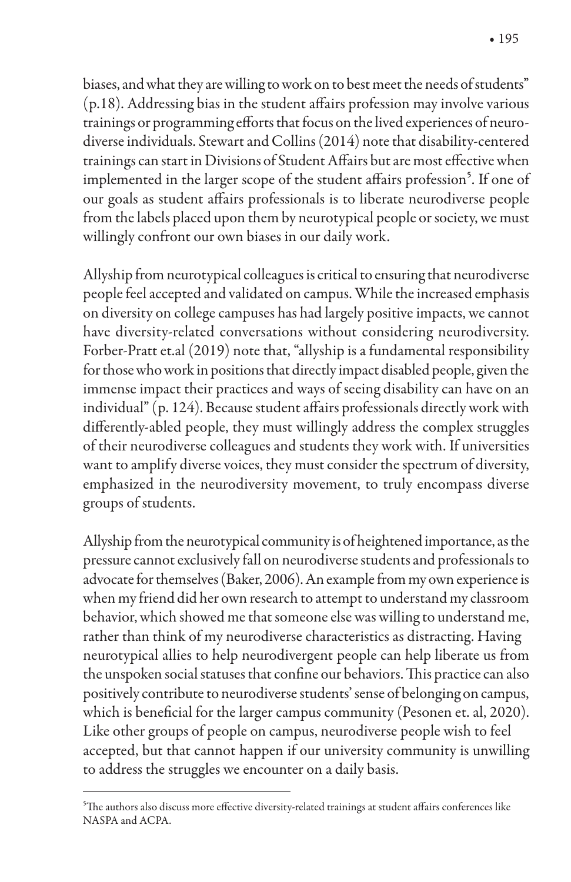biases, and what they are willing to work on to best meet the needs of students"  $(p.18)$ . Addressing bias in the student affairs profession may involve various trainings or programming efforts that focus on the lived experiences of neurodiverse individuals. Stewart and Collins (2014) note that disability-centered trainings can start in Divisions of Student Affairs but are most effective when implemented in the larger scope of the student affairs profession<sup>5</sup>. If one of our goals as student affairs professionals is to liberate neurodiverse people from the labels placed upon them by neurotypical people or society, we must willingly confront our own biases in our daily work.

Allyship from neurotypical colleagues is critical to ensuring that neurodiverse people feel accepted and validated on campus. While the increased emphasis on diversity on college campuses has had largely positive impacts, we cannot have diversity-related conversations without considering neurodiversity. Forber-Pratt et.al (2019) note that, "allyship is a fundamental responsibility for those who work in positions that directly impact disabled people, given the immense impact their practices and ways of seeing disability can have on an individual" (p. 124). Because student affairs professionals directly work with differently-abled people, they must willingly address the complex struggles of their neurodiverse colleagues and students they work with. If universities want to amplify diverse voices, they must consider the spectrum of diversity, emphasized in the neurodiversity movement, to truly encompass diverse groups of students.

Allyship from the neurotypical community is of heightened importance, as the pressure cannot exclusively fall on neurodiverse students and professionals to advocate for themselves (Baker, 2006). An example from my own experience is when my friend did her own research to attempt to understand my classroom behavior, which showed me that someone else was willing to understand me, rather than think of my neurodiverse characteristics as distracting. Having neurotypical allies to help neurodivergent people can help liberate us from the unspoken social statuses that confine our behaviors. This practice can also positively contribute to neurodiverse students' sense of belonging on campus, which is beneficial for the larger campus community (Pesonen et. al, 2020). Like other groups of people on campus, neurodiverse people wish to feel accepted, but that cannot happen if our university community is unwilling to address the struggles we encounter on a daily basis.

<sup>&</sup>lt;sup>5</sup>The authors also discuss more effective diversity-related trainings at student affairs conferences like NASPA and ACPA.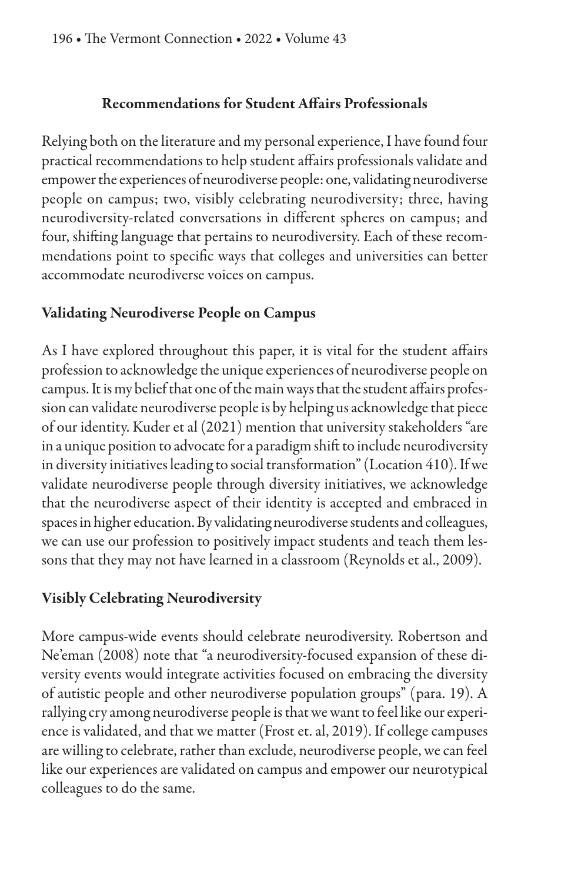#### Recommendations for Student A%airs Professionals

Relying both on the literature and my personal experience, I have found four practical recommendations to help student affairs professionals validate and empower the experiences of neurodiverse people: one, validating neurodiverse people on campus; two, visibly celebrating neurodiversity; three, having neurodiversity-related conversations in different spheres on campus; and four, shifting language that pertains to neurodiversity. Each of these recommendations point to specific ways that colleges and universities can better accommodate neurodiverse voices on campus.

#### Validating Neurodiverse People on Campus

As I have explored throughout this paper, it is vital for the student affairs profession to acknowledge the unique experiences of neurodiverse people on campus. It is my belief that one of the main ways that the student affairs profession can validate neurodiverse people is by helping us acknowledge that piece of our identity. Kuder et al (2021) mention that university stakeholders "are in a unique position to advocate for a paradigm shift to include neurodiversity in diversity initiatives leading to social transformation" (Location 410). If we validate neurodiverse people through diversity initiatives, we acknowledge that the neurodiverse aspect of their identity is accepted and embraced in spaces in higher education. By validating neurodiverse students and colleagues, we can use our profession to positively impact students and teach them lessons that they may not have learned in a classroom (Reynolds et al., 2009).

#### Visibly Celebrating Neurodiversity

More campus-wide events should celebrate neurodiversity. Robertson and Ne'eman (2008) note that "a neurodiversity-focused expansion of these diversity events would integrate activities focused on embracing the diversity of autistic people and other neurodiverse population groups" (para. 19). A rallying cry among neurodiverse people is that we want to feel like our experience is validated, and that we matter (Frost et. al, 2019). If college campuses are willing to celebrate, rather than exclude, neurodiverse people, we can feel like our experiences are validated on campus and empower our neurotypical colleagues to do the same.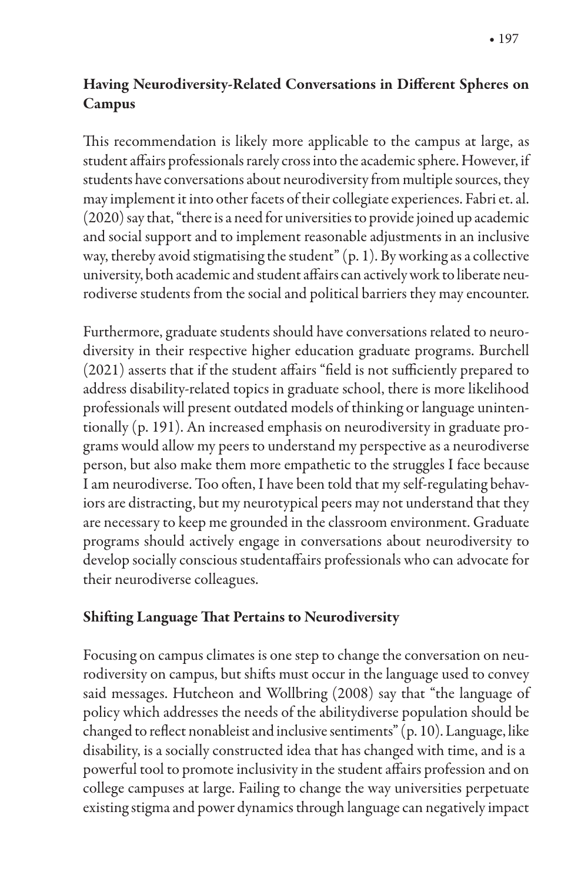### Having Neurodiversity-Related Conversations in Different Spheres on Campus

This recommendation is likely more applicable to the campus at large, as student affairs professionals rarely cross into the academic sphere. However, if students have conversations about neurodiversity from multiple sources, they may implement it into other facets of their collegiate experiences. Fabri et. al. (2020) say that, "there is a need for universities to provide joined up academic and social support and to implement reasonable adjustments in an inclusive way, thereby avoid stigmatising the student" (p. 1). By working as a collective university, both academic and student affairs can actively work to liberate neurodiverse students from the social and political barriers they may encounter.

Furthermore, graduate students should have conversations related to neurodiversity in their respective higher education graduate programs. Burchell  $(2021)$  asserts that if the student affairs "field is not sufficiently prepared to address disability-related topics in graduate school, there is more likelihood professionals will present outdated models of thinking or language unintentionally (p. 191). An increased emphasis on neurodiversity in graduate programs would allow my peers to understand my perspective as a neurodiverse person, but also make them more empathetic to the struggles I face because I am neurodiverse. Too often, I have been told that my self-regulating behaviors are distracting, but my neurotypical peers may not understand that they are necessary to keep me grounded in the classroom environment. Graduate programs should actively engage in conversations about neurodiversity to develop socially conscious studentaffairs professionals who can advocate for their neurodiverse colleagues.

#### Shifting Language That Pertains to Neurodiversity

Focusing on campus climates is one step to change the conversation on neurodiversity on campus, but shifts must occur in the language used to convey said messages. Hutcheon and Wollbring (2008) say that "the language of policy which addresses the needs of the abilitydiverse population should be changed to reflect nonableist and inclusive sentiments" (p. 10). Language, like disability, is a socially constructed idea that has changed with time, and is a powerful tool to promote inclusivity in the student affairs profession and on college campuses at large. Failing to change the way universities perpetuate existing stigma and power dynamics through language can negatively impact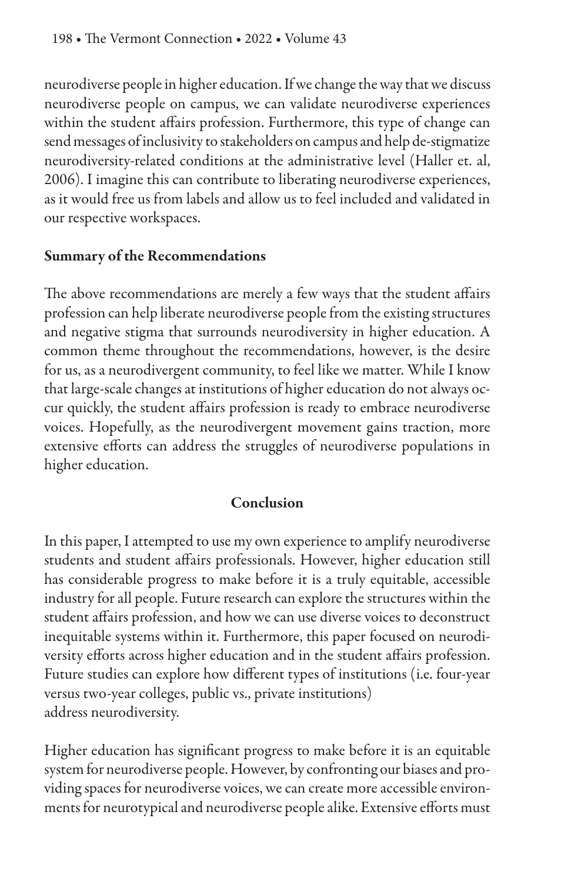neurodiverse people in higher education. If we change the way that we discuss neurodiverse people on campus, we can validate neurodiverse experiences within the student affairs profession. Furthermore, this type of change can send messages of inclusivity to stakeholders on campus and help de-stigmatize neurodiversity-related conditions at the administrative level (Haller et. al, 2006). I imagine this can contribute to liberating neurodiverse experiences, as it would free us from labels and allow us to feel included and validated in our respective workspaces.

#### Summary of the Recommendations

The above recommendations are merely a few ways that the student affairs profession can help liberate neurodiverse people from the existing structures and negative stigma that surrounds neurodiversity in higher education. A common theme throughout the recommendations, however, is the desire for us, as a neurodivergent community, to feel like we matter. While I know that large-scale changes at institutions of higher education do not always occur quickly, the student affairs profession is ready to embrace neurodiverse voices. Hopefully, as the neurodivergent movement gains traction, more extensive efforts can address the struggles of neurodiverse populations in higher education.

#### Conclusion

In this paper, I attempted to use my own experience to amplify neurodiverse students and student affairs professionals. However, higher education still has considerable progress to make before it is a truly equitable, accessible industry for all people. Future research can explore the structures within the student affairs profession, and how we can use diverse voices to deconstruct inequitable systems within it. Furthermore, this paper focused on neurodiversity efforts across higher education and in the student affairs profession. Future studies can explore how different types of institutions (i.e. four-year versus two-year colleges, public vs., private institutions) address neurodiversity.

Higher education has significant progress to make before it is an equitable system for neurodiverse people. However, by confronting our biases and providing spaces for neurodiverse voices, we can create more accessible environments for neurotypical and neurodiverse people alike. Extensive efforts must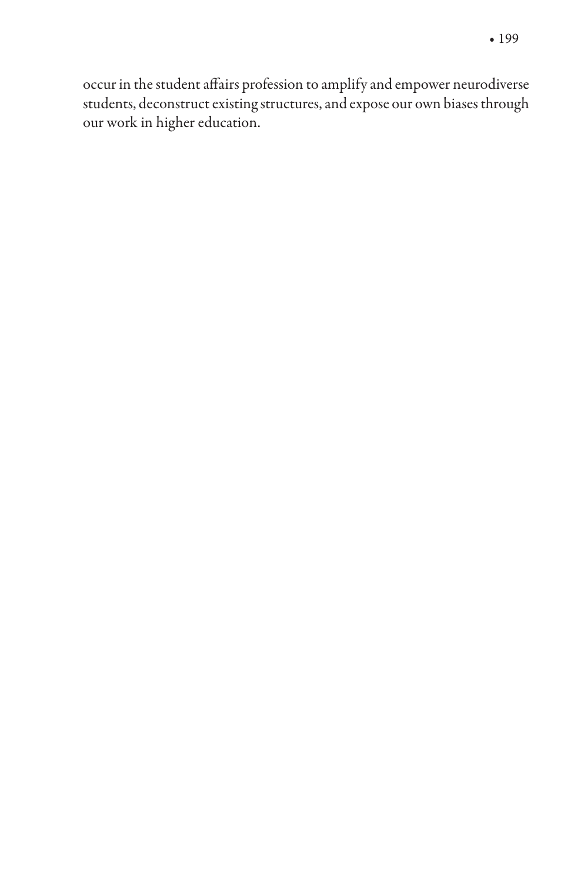occur in the student affairs profession to amplify and empower neurodiverse students, deconstruct existing structures, and expose our own biases through our work in higher education.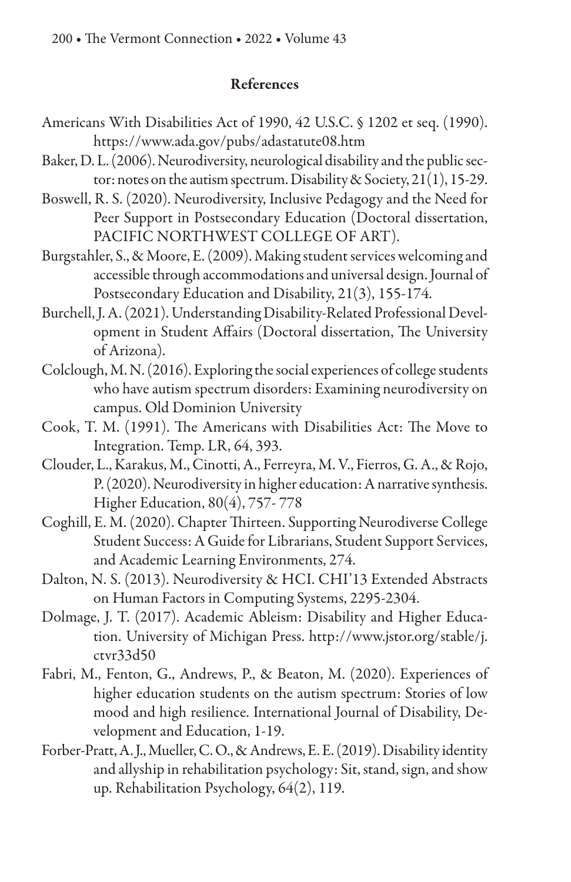#### References

- Americans With Disabilities Act of 1990, 42 U.S.C. § 1202 et seq. (1990). https://www.ada.gov/pubs/adastatute08.htm
- Baker, D. L. (2006). Neurodiversity, neurological disability and the public sector: notes on the autism spectrum. Disability & Society, 21(1), 15-29.
- Boswell, R. S. (2020). Neurodiversity, Inclusive Pedagogy and the Need for Peer Support in Postsecondary Education (Doctoral dissertation, PACIFIC NORTHWEST COLLEGE OF ART).
- Burgstahler, S., & Moore, E. (2009). Making student services welcoming and accessible through accommodations and universal design. Journal of Postsecondary Education and Disability, 21(3), 155-174.
- Burchell, J. A. (2021). Understanding Disability-Related Professional Development in Student Affairs (Doctoral dissertation, The University of Arizona).
- Colclough, M. N. (2016). Exploring the social experiences of college students who have autism spectrum disorders: Examining neurodiversity on campus. Old Dominion University
- Cook, T. M. (1991). The Americans with Disabilities Act: The Move to Integration. Temp. LR, 64, 393.
- Clouder, L., Karakus, M., Cinotti, A., Ferreyra, M. V., Fierros, G. A., & Rojo, P. (2020). Neurodiversity in higher education: A narrative synthesis. Higher Education, 80(4), 757- 778
- Coghill, E. M. (2020). Chapter Thirteen. Supporting Neurodiverse College Student Success: A Guide for Librarians, Student Support Services, and Academic Learning Environments, 274.
- Dalton, N. S. (2013). Neurodiversity & HCI. CHI'13 Extended Abstracts on Human Factors in Computing Systems, 2295-2304.
- Dolmage, J. T. (2017). Academic Ableism: Disability and Higher Education. University of Michigan Press. http://www.jstor.org/stable/j. ctvr33d50
- Fabri, M., Fenton, G., Andrews, P., & Beaton, M. (2020). Experiences of higher education students on the autism spectrum: Stories of low mood and high resilience. International Journal of Disability, Development and Education, 1-19.
- Forber-Pratt, A. J., Mueller, C. O., & Andrews, E. E. (2019). Disability identity and allyship in rehabilitation psychology: Sit, stand, sign, and show up. Rehabilitation Psychology, 64(2), 119.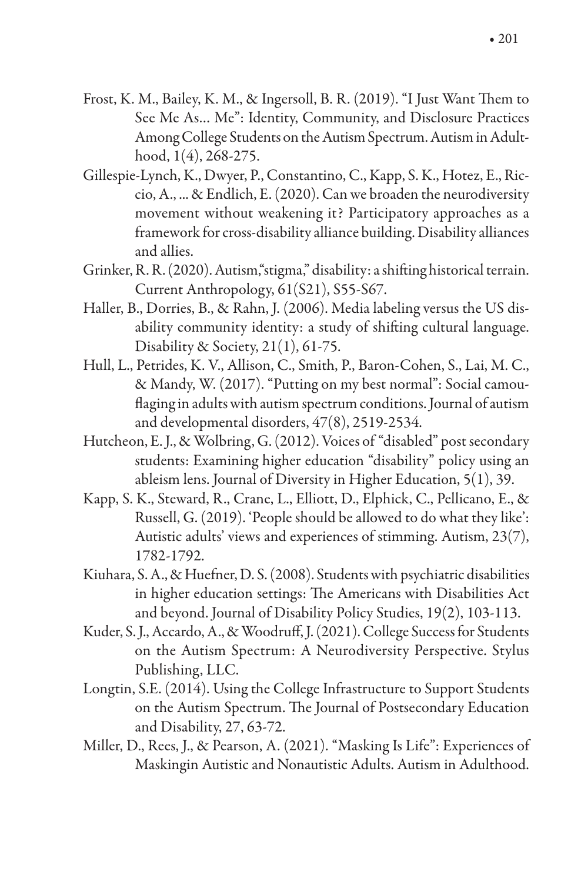- Frost, K. M., Bailey, K. M., & Ingersoll, B. R. (2019). "I Just Want Them to See Me As… Me": Identity, Community, and Disclosure Practices Among College Students on the Autism Spectrum. Autism in Adulthood, 1(4), 268-275.
- Gillespie-Lynch, K., Dwyer, P., Constantino, C., Kapp, S. K., Hotez, E., Riccio, A., ... & Endlich, E. (2020). Can we broaden the neurodiversity movement without weakening it? Participatory approaches as a framework for cross-disability alliance building. Disability alliances and allies.
- Grinker, R. R. (2020). Autism, "stigma," disability: a shifting historical terrain. Current Anthropology, 61(S21), S55-S67.
- Haller, B., Dorries, B., & Rahn, J. (2006). Media labeling versus the US disability community identity: a study of shifting cultural language. Disability & Society, 21(1), 61-75.
- Hull, L., Petrides, K. V., Allison, C., Smith, P., Baron-Cohen, S., Lai, M. C., & Mandy, W. (2017). "Putting on my best normal": Social camou flaging in adults with autism spectrum conditions. Journal of autism and developmental disorders, 47(8), 2519-2534.
- Hutcheon, E. J., & Wolbring, G. (2012). Voices of "disabled" post secondary students: Examining higher education "disability" policy using an ableism lens. Journal of Diversity in Higher Education, 5(1), 39.
- Kapp, S. K., Steward, R., Crane, L., Elliott, D., Elphick, C., Pellicano, E., & Russell, G. (2019). 'People should be allowed to do what they like': Autistic adults' views and experiences of stimming. Autism, 23(7), 1782-1792.
- Kiuhara, S. A., & Huefner, D. S. (2008). Students with psychiatric disabilities in higher education settings: The Americans with Disabilities Act and beyond. Journal of Disability Policy Studies, 19(2), 103-113.
- Kuder, S. J., Accardo, A., & Woodruff, J. (2021). College Success for Students on the Autism Spectrum: A Neurodiversity Perspective. Stylus Publishing, LLC.
- Longtin, S.E. (2014). Using the College Infrastructure to Support Students on the Autism Spectrum. The Journal of Postsecondary Education and Disability, 27, 63-72.
- Miller, D., Rees, J., & Pearson, A. (2021). "Masking Is Life": Experiences of Maskingin Autistic and Nonautistic Adults. Autism in Adulthood.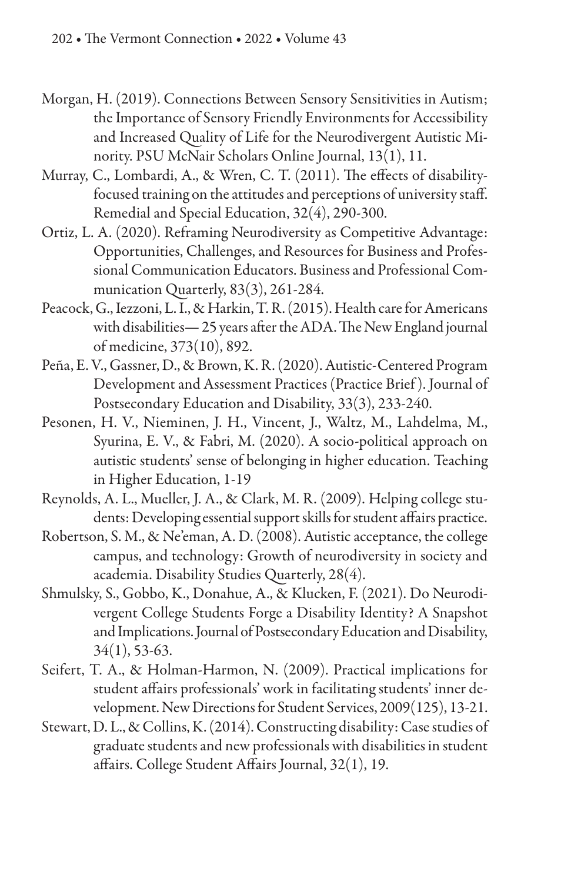- Morgan, H. (2019). Connections Between Sensory Sensitivities in Autism; the Importance of Sensory Friendly Environments for Accessibility and Increased Quality of Life for the Neurodivergent Autistic Minority. PSU McNair Scholars Online Journal, 13(1), 11.
- Murray, C., Lombardi, A., & Wren, C. T. (2011). The effects of disabilityfocused training on the attitudes and perceptions of university staff. Remedial and Special Education, 32(4), 290-300.
- Ortiz, L. A. (2020). Reframing Neurodiversity as Competitive Advantage: Opportunities, Challenges, and Resources for Business and Professional Communication Educators. Business and Professional Communication Quarterly, 83(3), 261-284.
- Peacock, G., Iezzoni, L. I., & Harkin, T. R. (2015). Health care for Americans with disabilities—25 years after the ADA. The New England journal of medicine, 373(10), 892.
- Peña, E. V., Gassner, D., & Brown, K. R. (2020). Autistic-Centered Program Development and Assessment Practices (Practice Brief ). Journal of Postsecondary Education and Disability, 33(3), 233-240.
- Pesonen, H. V., Nieminen, J. H., Vincent, J., Waltz, M., Lahdelma, M., Syurina, E. V., & Fabri, M. (2020). A socio-political approach on autistic students' sense of belonging in higher education. Teaching in Higher Education, 1-19
- Reynolds, A. L., Mueller, J. A., & Clark, M. R. (2009). Helping college students: Developing essential support skills for student affairs practice.
- Robertson, S. M., & Ne'eman, A. D. (2008). Autistic acceptance, the college campus, and technology: Growth of neurodiversity in society and academia. Disability Studies Quarterly, 28(4).
- Shmulsky, S., Gobbo, K., Donahue, A., & Klucken, F. (2021). Do Neurodivergent College Students Forge a Disability Identity? A Snapshot and Implications. Journal of Postsecondary Education and Disability, 34(1), 53-63.
- Seifert, T. A., & Holman‐Harmon, N. (2009). Practical implications for student affairs professionals' work in facilitating students' inner development. New Directions for Student Services, 2009(125), 13-21.
- Stewart, D. L., & Collins, K. (2014). Constructing disability: Case studies of graduate students and new professionals with disabilities in student affairs. College Student Affairs Journal, 32(1), 19.